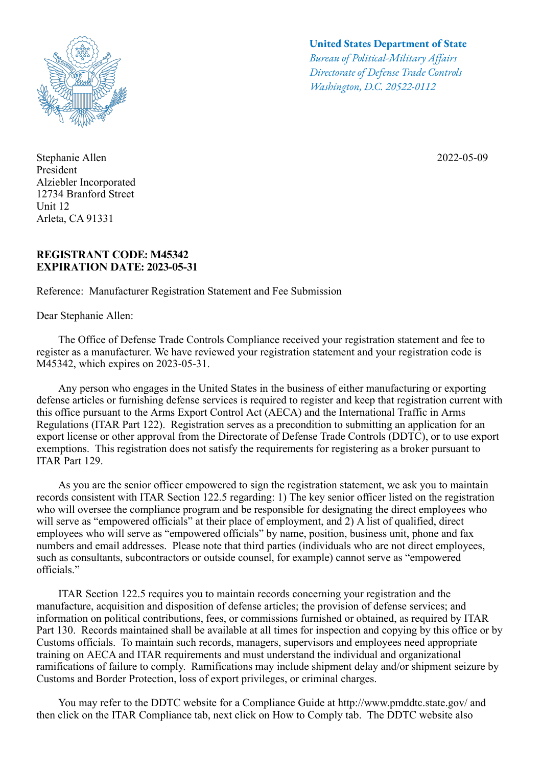

Stephanie Allen President Alziebler Incorporated 12734 Branford Street Unit 12 Arleta, CA 91331

## **REGISTRANT CODE: M45342 EXPIRATION DATE: 2023-05-31**

Reference: Manufacturer Registration Statement and Fee Submission

Dear Stephanie Allen:

## **United States Department of State**

*Bureau of Political-Military Afairs Directorate of Defense Trade Controls Washington, D.C. 20522-0112*

2022-05-09

 The Office of Defense Trade Controls Compliance received your registration statement and fee to register as a manufacturer. We have reviewed your registration statement and your registration code is M45342, which expires on 2023-05-31.

 Any person who engages in the United States in the business of either manufacturing or exporting defense articles or furnishing defense services is required to register and keep that registration current with this office pursuant to the Arms Export Control Act (AECA) and the International Traffic in Arms Regulations (ITAR Part 122). Registration serves as a precondition to submitting an application for an export license or other approval from the Directorate of Defense Trade Controls (DDTC), or to use export exemptions. This registration does not satisfy the requirements for registering as a broker pursuant to ITAR Part 129.

 As you are the senior officer empowered to sign the registration statement, we ask you to maintain records consistent with ITAR Section 122.5 regarding: 1) The key senior officer listed on the registration who will oversee the compliance program and be responsible for designating the direct employees who will serve as "empowered officials" at their place of employment, and 2) A list of qualified, direct employees who will serve as "empowered officials" by name, position, business unit, phone and fax numbers and email addresses. Please note that third parties (individuals who are not direct employees, such as consultants, subcontractors or outside counsel, for example) cannot serve as "empowered officials."

 ITAR Section 122.5 requires you to maintain records concerning your registration and the manufacture, acquisition and disposition of defense articles; the provision of defense services; and information on political contributions, fees, or commissions furnished or obtained, as required by ITAR Part 130. Records maintained shall be available at all times for inspection and copying by this office or by Customs officials. To maintain such records, managers, supervisors and employees need appropriate training on AECA and ITAR requirements and must understand the individual and organizational ramifications of failure to comply. Ramifications may include shipment delay and/or shipment seizure by Customs and Border Protection, loss of export privileges, or criminal charges.

You may refer to the DDTC website for a Compliance Guide at http://www.pmddtc.state.gov/ and then click on the ITAR Compliance tab, next click on How to Comply tab. The DDTC website also